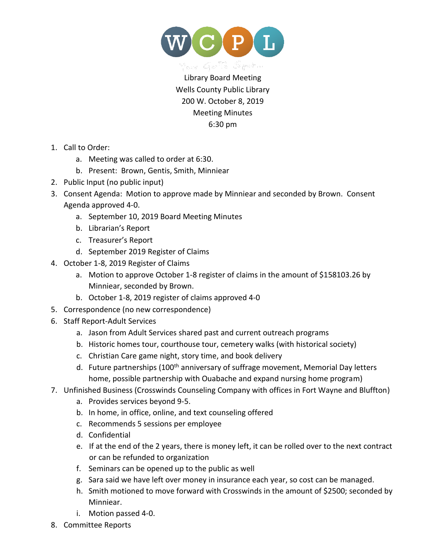

Library Board Meeting Wells County Public Library 200 W. October 8, 2019 Meeting Minutes 6:30 pm

- 1. Call to Order:
	- a. Meeting was called to order at 6:30.
	- b. Present: Brown, Gentis, Smith, Minniear
- 2. Public Input (no public input)
- 3. Consent Agenda: Motion to approve made by Minniear and seconded by Brown. Consent Agenda approved 4-0.
	- a. September 10, 2019 Board Meeting Minutes
	- b. Librarian's Report
	- c. Treasurer's Report
	- d. September 2019 Register of Claims
- 4. October 1-8, 2019 Register of Claims
	- a. Motion to approve October 1-8 register of claims in the amount of \$158103.26 by Minniear, seconded by Brown.
	- b. October 1-8, 2019 register of claims approved 4-0
- 5. Correspondence (no new correspondence)
- 6. Staff Report-Adult Services
	- a. Jason from Adult Services shared past and current outreach programs
	- b. Historic homes tour, courthouse tour, cemetery walks (with historical society)
	- c. Christian Care game night, story time, and book delivery
	- d. Future partnerships (100<sup>th</sup> anniversary of suffrage movement, Memorial Day letters home, possible partnership with Ouabache and expand nursing home program)
- 7. Unfinished Business (Crosswinds Counseling Company with offices in Fort Wayne and Bluffton)
	- a. Provides services beyond 9-5.
	- b. In home, in office, online, and text counseling offered
	- c. Recommends 5 sessions per employee
	- d. Confidential
	- e. If at the end of the 2 years, there is money left, it can be rolled over to the next contract or can be refunded to organization
	- f. Seminars can be opened up to the public as well
	- g. Sara said we have left over money in insurance each year, so cost can be managed.
	- h. Smith motioned to move forward with Crosswinds in the amount of \$2500; seconded by Minniear.
	- i. Motion passed 4-0.
- 8. Committee Reports